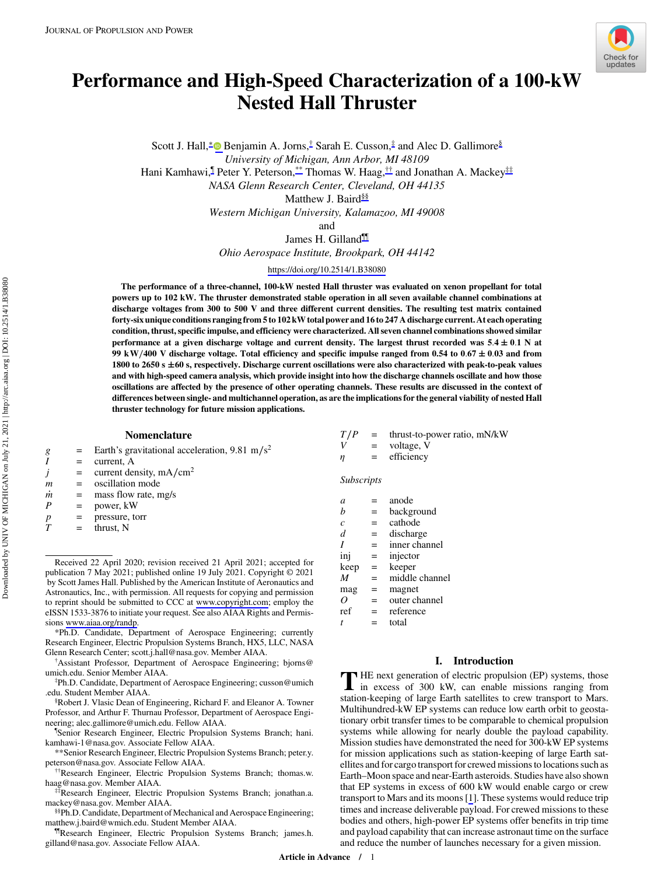

# Performance and High-Speed Characterization of a 100-kW Nested Hall Thruster

Scott J. Hall,<sup>∗</sup> Benjamin A. Jorns,<sup>†</sup> Sarah E. Cusson,<sup>‡</sup> and Alec D. Gallimore<sup>§</sup> University of Michigan, Ann Arbor, MI 48109

Hani Kamhawi,<sup>¶</sup> Peter Y. Peterson,\*\* Thomas W. Haag,<sup>††</sup> and Jonathan A. Mackey<sup>‡‡</sup>

NASA Glenn Research Center, Cleveland, OH 44135

Matthew J. Baird<sup>§§</sup>

Western Michigan University, Kalamazoo, MI 49008

and

James H. Gilland¶¶

Ohio Aerospace Institute, Brookpark, OH 44142

<https://doi.org/10.2514/1.B38080>

The performance of a three-channel, 100-kW nested Hall thruster was evaluated on xenon propellant for total powers up to 102 kW. The thruster demonstrated stable operation in all seven available channel combinations at discharge voltages from 300 to 500 V and three different current densities. The resulting test matrix contained forty-six unique conditions ranging from 5 to 102 kW total power and 16 to 247 A discharge current. At each operating condition, thrust, specific impulse, and efficiency were characterized. All seven channel combinations showed similar performance at a given discharge voltage and current density. The largest thrust recorded was  $5.4 \pm 0.1$  N at 99 kW/400 V discharge voltage. Total efficiency and specific impulse ranged from 0.54 to 0.67  $\pm$  0.03 and from 1800 to 2650 s  $\pm$  60 s, respectively. Discharge current oscillations were also characterized with peak-to-peak values and with high-speed camera analysis, which provide insight into how the discharge channels oscillate and how those oscillations are affected by the presence of other operating channels. These results are discussed in the context of differences between single- and multichannel operation, as are the implications for the general viability of nested Hall thruster technology for future mission applications.

## Nomenclature

- g = Earth's gravitational acceleration, 9.81 m/s<sup>2</sup><br> $I =$  current, A
	-
- $I =$  current, A<br>  $j =$  current den  $j$  = current density, mA/cm<sup>2</sup><br>*m* = oscillation mode
	- oscillation mode
- $\dot{m}$  = mass flow rate, mg/s<br>  $P$  = nower. kW
	- power, kW
- $p = \text{pressure, torr}$ <br>  $T = \text{thrust. N}$ 
	- $=$  thrust, N

Received 22 April 2020; revision received 21 April 2021; accepted for publication 7 May 2021; published online 19 July 2021. Copyright © 2021 by Scott James Hall. Published by the American Institute of Aeronautics and Astronautics, Inc., with permission. All requests for copying and permission to reprint should be submitted to CCC at [www.copyright.com;](www.copyright.com) employ the eISSN 1533-3876 to initiate your request. See also AIAA Rights and Permissions<www.aiaa.org/randp>.

\*Ph.D. Candidate, Department of Aerospace Engineering; currently Research Engineer, Electric Propulsion Systems Branch, HX5, LLC, NASA Glenn Research Center; scott.j.hall@nasa.gov. Member AIAA. †

Assistant Professor, Department of Aerospace Engineering; bjorns@ umich.edu. Senior Member AIAA. ‡

Ph.D. Candidate, Department of Aerospace Engineering; cusson@umich .edu. Student Member AIAA.

§ Robert J. Vlasic Dean of Engineering, Richard F. and Eleanor A. Towner Professor, and Arthur F. Thurnau Professor, Department of Aerospace Engineering; alec.gallimore@umich.edu. Fellow AIAA.

¶ Senior Research Engineer, Electric Propulsion Systems Branch; hani. kamhawi-1@nasa.gov. Associate Fellow AIAA.

\*\*Senior Research Engineer, Electric Propulsion Systems Branch; peter.y.

††Research Engineer, Electric Propulsion Systems Branch; thomas.w. haag@nasa.gov. Member AIAA.<br><sup>‡‡</sup>Research Engineer, Electric Propulsion Systems Branch; jonathan.a.

mackey@nasa.gov. Member AIAA.

§§Ph.D. Candidate, Department of Mechanical and Aerospace Engineering; matthew.j.baird@wmich.edu. Student Member AIAA.

¶¶Research Engineer, Electric Propulsion Systems Branch; james.h. gilland@nasa.gov. Associate Fellow AIAA.

 $T/P$  = thrust-to-power ratio, mN/kW  $V =$  voltage, V = efficiency

Subscripts

| a              |     | anode          |
|----------------|-----|----------------|
| h              | =   | background     |
| $\overline{c}$ | =   | cathode        |
| d              | =   | discharge      |
| I              | =   | inner channel  |
| inj            | =   | injector       |
| keep           | =   | keeper         |
| M              |     | middle channel |
| mag            | $=$ | magnet         |
| ( )            | =   | outer channel  |
| ref            | =   | reference      |
| t              |     | total          |

#### I. Introduction

THE next generation of electric propulsion (EP) systems, those<br>in excess of 300 kW, can enable missions ranging from station-keeping of large Earth satellites to crew transport to Mars. Multihundred-kW EP systems can reduce low earth orbit to geostationary orbit transfer times to be comparable to chemical propulsion systems while allowing for nearly double the payload capability. Mission studies have demonstrated the need for 300-kW EP systems for mission applications such as station-keeping of large Earth satellites and for cargo transport for crewed missions to locations such as Earth–Moon space and near-Earth asteroids. Studies have also shown that EP systems in excess of 600 kW would enable cargo or crew transport to Mars and its moons [\[1](#page-9-0)]. These systems would reduce trip times and increase deliverable payload. For crewed missions to these bodies and others, high-power EP systems offer benefits in trip time and payload capability that can increase astronaut time on the surface and reduce the number of launches necessary for a given mission.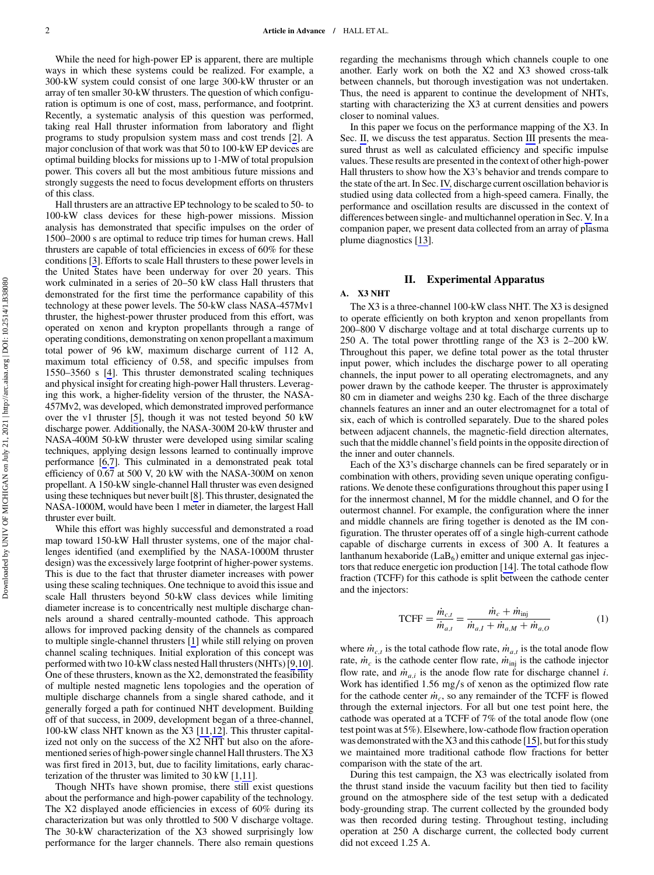Downloaded by UNIV OF MICHIGAN on July 21, 2021 | http://arc.aiaa.org | DOI: 10.2514/1.B38080 Downloaded by UNIV OF MICHIGAN on July 21, 2021 | http://arc.aiaa.org | DOI: 10.2514/1.B38080

<span id="page-1-0"></span>While the need for high-power EP is apparent, there are multiple ways in which these systems could be realized. For example, a 300-kW system could consist of one large 300-kW thruster or an array of ten smaller 30-kW thrusters. The question of which configuration is optimum is one of cost, mass, performance, and footprint. Recently, a systematic analysis of this question was performed, taking real Hall thruster information from laboratory and flight programs to study propulsion system mass and cost trends [\[2\]](#page-9-0). A major conclusion of that work was that 50 to 100-kW EP devices are optimal building blocks for missions up to 1-MW of total propulsion power. This covers all but the most ambitious future missions and strongly suggests the need to focus development efforts on thrusters of this class.

Hall thrusters are an attractive EP technology to be scaled to 50- to 100-kW class devices for these high-power missions. Mission analysis has demonstrated that specific impulses on the order of 1500–2000 s are optimal to reduce trip times for human crews. Hall thrusters are capable of total efficiencies in excess of 60% for these conditions [\[3\]](#page-9-0). Efforts to scale Hall thrusters to these power levels in the United States have been underway for over 20 years. This work culminated in a series of 20–50 kW class Hall thrusters that demonstrated for the first time the performance capability of this technology at these power levels. The 50-kW class NASA-457Mv1 thruster, the highest-power thruster produced from this effort, was operated on xenon and krypton propellants through a range of operating conditions, demonstrating on xenon propellant a maximum total power of 96 kW, maximum discharge current of 112 A, maximum total efficiency of 0.58, and specific impulses from 1550–3560 s [[4](#page-9-0)]. This thruster demonstrated scaling techniques and physical insight for creating high-power Hall thrusters. Leveraging this work, a higher-fidelity version of the thruster, the NASA-457Mv2, was developed, which demonstrated improved performance over the v1 thruster [\[5\]](#page-9-0), though it was not tested beyond 50 kW discharge power. Additionally, the NASA-300M 20-kW thruster and NASA-400M 50-kW thruster were developed using similar scaling techniques, applying design lessons learned to continually improve performance [\[6,7](#page-9-0)]. This culminated in a demonstrated peak total efficiency of 0.67 at 500 V, 20 kW with the NASA-300M on xenon propellant. A 150-kW single-channel Hall thruster was even designed using these techniques but never built [\[8](#page-9-0)]. This thruster, designated the NASA-1000M, would have been 1 meter in diameter, the largest Hall thruster ever built.

While this effort was highly successful and demonstrated a road map toward 150-kW Hall thruster systems, one of the major challenges identified (and exemplified by the NASA-1000M thruster design) was the excessively large footprint of higher-power systems. This is due to the fact that thruster diameter increases with power using these scaling techniques. One technique to avoid this issue and scale Hall thrusters beyond 50-kW class devices while limiting diameter increase is to concentrically nest multiple discharge channels around a shared centrally-mounted cathode. This approach allows for improved packing density of the channels as compared to multiple single-channel thrusters [[1](#page-9-0)] while still relying on proven channel scaling techniques. Initial exploration of this concept was performed with two 10-kW class nested Hall thrusters (NHTs) [[9](#page-9-0)[,10](#page-10-0)]. One of these thrusters, known as the X2, demonstrated the feasibility of multiple nested magnetic lens topologies and the operation of multiple discharge channels from a single shared cathode, and it generally forged a path for continued NHT development. Building off of that success, in 2009, development began of a three-channel, 100-kW class NHT known as the X3 [[11,12\]](#page-10-0). This thruster capitalized not only on the success of the X2 NHT but also on the aforementioned series of high-power single channel Hall thrusters. The X3 was first fired in 2013, but, due to facility limitations, early characterization of the thruster was limited to 30 kW [[1](#page-9-0)[,11](#page-10-0)].

Though NHTs have shown promise, there still exist questions about the performance and high-power capability of the technology. The X2 displayed anode efficiencies in excess of 60% during its characterization but was only throttled to 500 V discharge voltage. The 30-kW characterization of the X3 showed surprisingly low performance for the larger channels. There also remain questions regarding the mechanisms through which channels couple to one another. Early work on both the X2 and X3 showed cross-talk between channels, but thorough investigation was not undertaken. Thus, the need is apparent to continue the development of NHTs, starting with characterizing the X3 at current densities and powers closer to nominal values.

In this paper we focus on the performance mapping of the X3. In Sec. II, we discuss the test apparatus. Section [III](#page-2-0) presents the measured thrust as well as calculated efficiency and specific impulse values. These results are presented in the context of other high-power Hall thrusters to show how the X3's behavior and trends compare to the state of the art. In Sec. [IV,](#page-4-0) discharge current oscillation behavior is studied using data collected from a high-speed camera. Finally, the performance and oscillation results are discussed in the context of differences between single- and multichannel operation in Sec. [V.](#page-6-0) In a companion paper, we present data collected from an array of plasma plume diagnostics [[13\]](#page-10-0).

## II. Experimental Apparatus

## A. X3 NHT

The X3 is a three-channel 100-kW class NHT. The X3 is designed to operate efficiently on both krypton and xenon propellants from 200–800 V discharge voltage and at total discharge currents up to 250 A. The total power throttling range of the X3 is 2–200 kW. Throughout this paper, we define total power as the total thruster input power, which includes the discharge power to all operating channels, the input power to all operating electromagnets, and any power drawn by the cathode keeper. The thruster is approximately 80 cm in diameter and weighs 230 kg. Each of the three discharge channels features an inner and an outer electromagnet for a total of six, each of which is controlled separately. Due to the shared poles between adjacent channels, the magnetic-field direction alternates, such that the middle channel's field points in the opposite direction of the inner and outer channels.

Each of the X3's discharge channels can be fired separately or in combination with others, providing seven unique operating configurations. We denote these configurations throughout this paper using I for the innermost channel, M for the middle channel, and O for the outermost channel. For example, the configuration where the inner and middle channels are firing together is denoted as the IM configuration. The thruster operates off of a single high-current cathode capable of discharge currents in excess of 300 A. It features a lanthanum hexaboride  $(LaB<sub>6</sub>)$  emitter and unique external gas injectors that reduce energetic ion production [\[14](#page-10-0)]. The total cathode flow fraction (TCFF) for this cathode is split between the cathode center and the injectors:

$$
TCFF = \frac{\dot{m}_{c,t}}{\dot{m}_{a,t}} = \frac{\dot{m}_c + \dot{m}_{\text{inj}}}{\dot{m}_{a,t} + \dot{m}_{a,M} + \dot{m}_{a,O}}
$$
(1)

where  $\dot{m}_{c,t}$  is the total cathode flow rate,  $\dot{m}_{a,t}$  is the total anode flow rate,  $\dot{m}_c$  is the cathode center flow rate,  $\dot{m}_{\text{ini}}$  is the cathode injector flow rate, and  $\dot{m}_{a,i}$  is the anode flow rate for discharge channel i. Work has identified 1.56 mg∕s of xenon as the optimized flow rate for the cathode center  $\dot{m}_c$ , so any remainder of the TCFF is flowed through the external injectors. For all but one test point here, the cathode was operated at a TCFF of 7% of the total anode flow (one test point was at 5%). Elsewhere, low-cathode flow fraction operation was demonstrated with the X3 and this cathode [\[15](#page-10-0)], but for this study we maintained more traditional cathode flow fractions for better comparison with the state of the art.

During this test campaign, the X3 was electrically isolated from the thrust stand inside the vacuum facility but then tied to facility ground on the atmosphere side of the test setup with a dedicated body-grounding strap. The current collected by the grounded body was then recorded during testing. Throughout testing, including operation at 250 A discharge current, the collected body current did not exceed 1.25 A.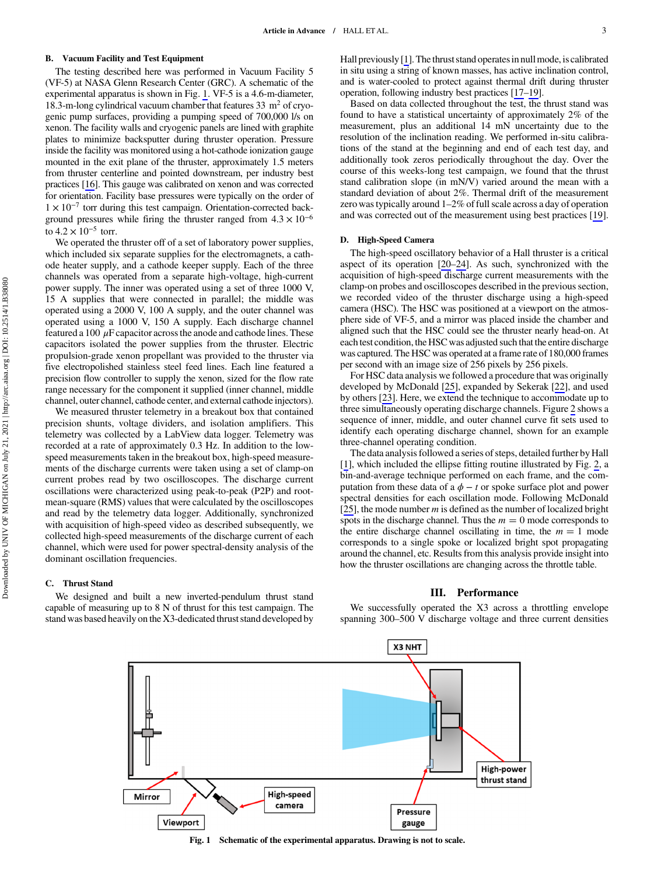## <span id="page-2-0"></span>B. Vacuum Facility and Test Equipment

The testing described here was performed in Vacuum Facility 5 (VF-5) at NASA Glenn Research Center (GRC). A schematic of the experimental apparatus is shown in Fig. 1. VF-5 is a 4.6-m-diameter, 18.3-m-long cylindrical vacuum chamber that features  $33 \text{ m}^2$  of cryogenic pump surfaces, providing a pumping speed of 700,000 l/s on xenon. The facility walls and cryogenic panels are lined with graphite plates to minimize backsputter during thruster operation. Pressure inside the facility was monitored using a hot-cathode ionization gauge mounted in the exit plane of the thruster, approximately 1.5 meters from thruster centerline and pointed downstream, per industry best practices [\[16\]](#page-10-0). This gauge was calibrated on xenon and was corrected for orientation. Facility base pressures were typically on the order of 1 <sup>×</sup> 10<sup>−</sup><sup>7</sup> torr during this test campaign. Orientation-corrected background pressures while firing the thruster ranged from  $4.3 \times 10^{-6}$ to  $4.2 \times 10^{-5}$  torr.

We operated the thruster off of a set of laboratory power supplies, which included six separate supplies for the electromagnets, a cathode heater supply, and a cathode keeper supply. Each of the three channels was operated from a separate high-voltage, high-current power supply. The inner was operated using a set of three 1000 V, 15 A supplies that were connected in parallel; the middle was operated using a 2000 V, 100 A supply, and the outer channel was operated using a 1000 V, 150 A supply. Each discharge channel featured a 100  $\mu$ F capacitor across the anode and cathode lines. These capacitors isolated the power supplies from the thruster. Electric propulsion-grade xenon propellant was provided to the thruster via five electropolished stainless steel feed lines. Each line featured a precision flow controller to supply the xenon, sized for the flow rate range necessary for the component it supplied (inner channel, middle channel, outer channel, cathode center, and external cathode injectors).

We measured thruster telemetry in a breakout box that contained precision shunts, voltage dividers, and isolation amplifiers. This telemetry was collected by a LabView data logger. Telemetry was recorded at a rate of approximately 0.3 Hz. In addition to the lowspeed measurements taken in the breakout box, high-speed measurements of the discharge currents were taken using a set of clamp-on current probes read by two oscilloscopes. The discharge current oscillations were characterized using peak-to-peak (P2P) and rootmean-square (RMS) values that were calculated by the oscilloscopes and read by the telemetry data logger. Additionally, synchronized with acquisition of high-speed video as described subsequently, we collected high-speed measurements of the discharge current of each channel, which were used for power spectral-density analysis of the dominant oscillation frequencies.

## C. Thrust Stand

We designed and built a new inverted-pendulum thrust stand capable of measuring up to 8 N of thrust for this test campaign. The stand was based heavily on the X3-dedicated thrust stand developed by Hall previously [\[1\]](#page-9-0). The thrust stand operatesin null mode, is calibrated in situ using a string of known masses, has active inclination control, and is water-cooled to protect against thermal drift during thruster operation, following industry best practices [[17](#page-10-0)–[19\]](#page-10-0).

Based on data collected throughout the test, the thrust stand was found to have a statistical uncertainty of approximately 2% of the measurement, plus an additional 14 mN uncertainty due to the resolution of the inclination reading. We performed in-situ calibrations of the stand at the beginning and end of each test day, and additionally took zeros periodically throughout the day. Over the course of this weeks-long test campaign, we found that the thrust stand calibration slope (in mN/V) varied around the mean with a standard deviation of about 2%. Thermal drift of the measurement zero was typically around 1–2% of full scale across a day of operation and was corrected out of the measurement using best practices [\[19](#page-10-0)].

## D. High-Speed Camera

The high-speed oscillatory behavior of a Hall thruster is a critical aspect of its operation [[20](#page-10-0)–[24\]](#page-10-0). As such, synchronized with the acquisition of high-speed discharge current measurements with the clamp-on probes and oscilloscopes described in the previous section, we recorded video of the thruster discharge using a high-speed camera (HSC). The HSC was positioned at a viewport on the atmosphere side of VF-5, and a mirror was placed inside the chamber and aligned such that the HSC could see the thruster nearly head-on. At each test condition, the HSC was adjusted such that the entire discharge was captured. The HSC was operated at a frame rate of 180,000 frames per second with an image size of 256 pixels by 256 pixels.

For HSC data analysis we followed a procedure that was originally developed by McDonald [[25\]](#page-10-0), expanded by Sekerak [\[22](#page-10-0)], and used by others [[23\]](#page-10-0). Here, we extend the technique to accommodate up to three simultaneously operating discharge channels. Figure [2](#page-3-0) shows a sequence of inner, middle, and outer channel curve fit sets used to identify each operating discharge channel, shown for an example three-channel operating condition.

The data analysis followed a series of steps, detailed further by Hall [\[1\]](#page-9-0), which included the ellipse fitting routine illustrated by Fig. [2,](#page-3-0) a bin-and-average technique performed on each frame, and the computation from these data of a  $\phi - t$  or spoke surface plot and power spectral densities for each oscillation mode. Following McDonald [\[25](#page-10-0)], the mode number  $m$  is defined as the number of localized bright spots in the discharge channel. Thus the  $m = 0$  mode corresponds to the entire discharge channel oscillating in time, the  $m = 1$  mode corresponds to a single spoke or localized bright spot propagating around the channel, etc. Results from this analysis provide insight into how the thruster oscillations are changing across the throttle table.

## III. Performance

We successfully operated the X3 across a throttling envelope spanning 300–500 V discharge voltage and three current densities

X3 NHT



Fig. 1 Schematic of the experimental apparatus. Drawing is not to scale.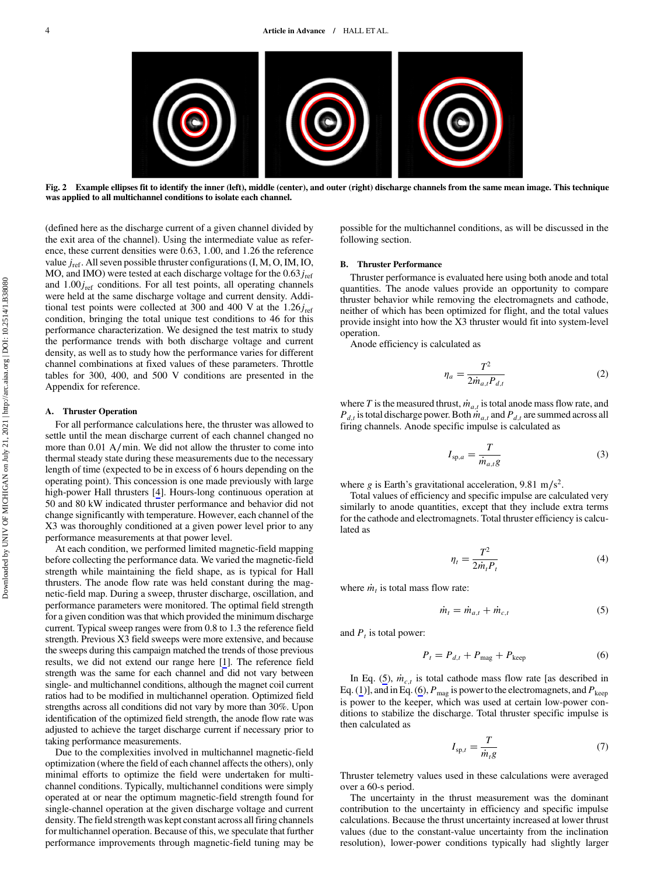<span id="page-3-0"></span>

Fig. 2 Example ellipses fit to identify the inner (left), middle (center), and outer (right) discharge channels from the same mean image. This technique was applied to all multichannel conditions to isolate each channel.

(defined here as the discharge current of a given channel divided by the exit area of the channel). Using the intermediate value as reference, these current densities were 0.63, 1.00, and 1.26 the reference value  $j_{\text{ref}}$ . All seven possible thruster configurations (I, M, O, IM, IO, MO, and IMO) were tested at each discharge voltage for the  $0.63j_{ref}$ and  $1.00j<sub>ref</sub>$  conditions. For all test points, all operating channels were held at the same discharge voltage and current density. Additional test points were collected at 300 and 400 V at the  $1.26j_{ref}$ condition, bringing the total unique test conditions to 46 for this performance characterization. We designed the test matrix to study the performance trends with both discharge voltage and current density, as well as to study how the performance varies for different channel combinations at fixed values of these parameters. Throttle tables for 300, 400, and 500 V conditions are presented in the Appendix for reference.

#### A. Thruster Operation

For all performance calculations here, the thruster was allowed to settle until the mean discharge current of each channel changed no more than 0.01 A∕min. We did not allow the thruster to come into thermal steady state during these measurements due to the necessary length of time (expected to be in excess of 6 hours depending on the operating point). This concession is one made previously with large high-power Hall thrusters [\[4\]](#page-9-0). Hours-long continuous operation at 50 and 80 kW indicated thruster performance and behavior did not change significantly with temperature. However, each channel of the X3 was thoroughly conditioned at a given power level prior to any performance measurements at that power level.

At each condition, we performed limited magnetic-field mapping before collecting the performance data. We varied the magnetic-field strength while maintaining the field shape, as is typical for Hall thrusters. The anode flow rate was held constant during the magnetic-field map. During a sweep, thruster discharge, oscillation, and performance parameters were monitored. The optimal field strength for a given condition was that which provided the minimum discharge current. Typical sweep ranges were from 0.8 to 1.3 the reference field strength. Previous X3 field sweeps were more extensive, and because the sweeps during this campaign matched the trends of those previous results, we did not extend our range here [[1](#page-9-0)]. The reference field strength was the same for each channel and did not vary between single- and multichannel conditions, although the magnet coil current ratios had to be modified in multichannel operation. Optimized field strengths across all conditions did not vary by more than 30%. Upon identification of the optimized field strength, the anode flow rate was adjusted to achieve the target discharge current if necessary prior to taking performance measurements.

Due to the complexities involved in multichannel magnetic-field optimization (where the field of each channel affects the others), only minimal efforts to optimize the field were undertaken for multichannel conditions. Typically, multichannel conditions were simply operated at or near the optimum magnetic-field strength found for single-channel operation at the given discharge voltage and current density. The field strength was kept constant across all firing channels for multichannel operation. Because of this, we speculate that further performance improvements through magnetic-field tuning may be possible for the multichannel conditions, as will be discussed in the following section.

#### B. Thruster Performance

Thruster performance is evaluated here using both anode and total quantities. The anode values provide an opportunity to compare thruster behavior while removing the electromagnets and cathode, neither of which has been optimized for flight, and the total values provide insight into how the X3 thruster would fit into system-level operation.

Anode efficiency is calculated as

$$
\eta_a = \frac{T^2}{2\dot{m}_{a,t} P_{d,t}}\tag{2}
$$

where T is the measured thrust,  $\dot{m}_{a,t}$  is total anode mass flow rate, and  $P_{d,t}$  is total discharge power. Both  $\dot{m}_{a,t}$  and  $P_{d,t}$  are summed across all firing channels. Anode specific impulse is calculated as

$$
I_{\text{sp},a} = \frac{T}{\dot{m}_{a,t}g} \tag{3}
$$

where g is Earth's gravitational acceleration, 9.81 m/s<sup>2</sup>.

Total values of efficiency and specific impulse are calculated very similarly to anode quantities, except that they include extra terms for the cathode and electromagnets. Total thruster efficiency is calculated as

$$
\eta_t = \frac{T^2}{2\dot{m}_t P_t} \tag{4}
$$

where  $\dot{m}_t$  is total mass flow rate:

$$
\dot{m}_t = \dot{m}_{a,t} + \dot{m}_{c,t} \tag{5}
$$

and  $P_t$  is total power:

$$
P_t = P_{d,t} + P_{\text{mag}} + P_{\text{keep}} \tag{6}
$$

In Eq. (5),  $\dot{m}_{c,t}$  is total cathode mass flow rate [as described in Eq. ([1](#page-1-0))], and in Eq. (6),  $P_{\text{mag}}$  is power to the electromagnets, and  $P_{\text{keep}}$ is power to the keeper, which was used at certain low-power conditions to stabilize the discharge. Total thruster specific impulse is then calculated as

$$
I_{\mathrm{sp},t} = \frac{T}{\dot{m}_t g} \tag{7}
$$

Thruster telemetry values used in these calculations were averaged over a 60-s period.

The uncertainty in the thrust measurement was the dominant contribution to the uncertainty in efficiency and specific impulse calculations. Because the thrust uncertainty increased at lower thrust values (due to the constant-value uncertainty from the inclination resolution), lower-power conditions typically had slightly larger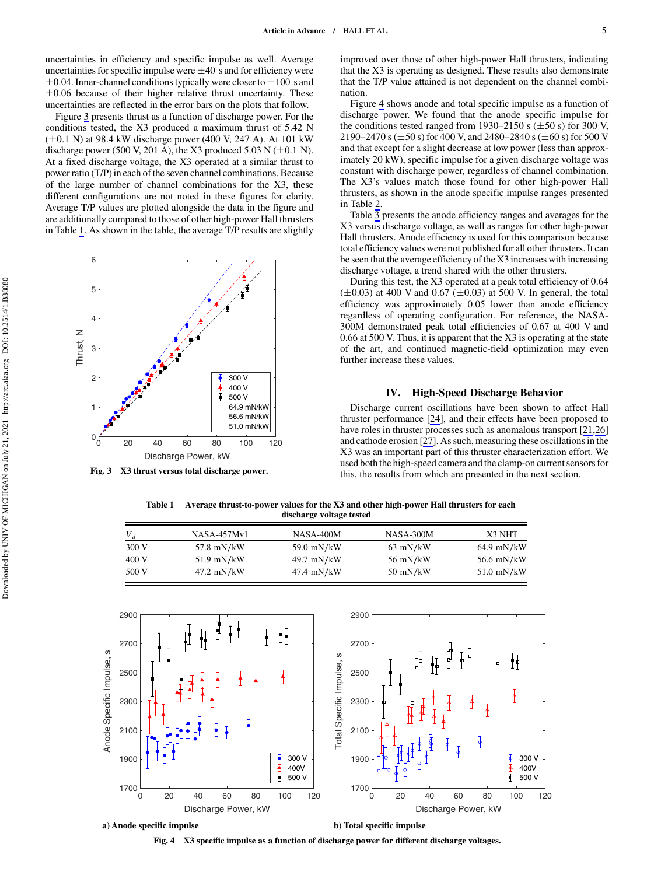<span id="page-4-0"></span>uncertainties in efficiency and specific impulse as well. Average uncertainties for specific impulse were  $\pm 40$  s and for efficiency were  $\pm 0.04$ . Inner-channel conditions typically were closer to  $\pm 100\,$  s and  $\pm 0.06$  because of their higher relative thrust uncertainty. These uncertainties are reflected in the error bars on the plots that follow.

Figure 3 presents thrust as a function of discharge power. For the conditions tested, the X3 produced a maximum thrust of 5.42 N  $(\pm 0.1 \text{ N})$  at 98.4 kW discharge power (400 V, 247 A). At 101 kW discharge power (500 V, 201 A), the X3 produced 5.03 N ( $\pm$ 0.1 N). At a fixed discharge voltage, the X3 operated at a similar thrust to power ratio (T/P) in each of the seven channel combinations. Because of the large number of channel combinations for the X3, these different configurations are not noted in these figures for clarity. Average T/P values are plotted alongside the data in the figure and are additionally compared to those of other high-power Hall thrusters in Table 1. As shown in the table, the average T/P results are slightly



Fig. 3 X3 thrust versus total discharge power.

improved over those of other high-power Hall thrusters, indicating that the X3 is operating as designed. These results also demonstrate that the T/P value attained is not dependent on the channel combination.

Figure 4 shows anode and total specific impulse as a function of discharge power. We found that the anode specific impulse for the conditions tested ranged from 1930–2150 s  $(\pm 50 \text{ s})$  for 300 V, 2190–2470 s ( $\pm$ 50 s) for 400 V, and 2480–2840 s ( $\pm$ 60 s) for 500 V and that except for a slight decrease at low power (less than approximately 20 kW), specific impulse for a given discharge voltage was constant with discharge power, regardless of channel combination. The X3's values match those found for other high-power Hall thrusters, as shown in the anode specific impulse ranges presented in Table [2](#page-5-0).

Table [3](#page-5-0) presents the anode efficiency ranges and averages for the X3 versus discharge voltage, as well as ranges for other high-power Hall thrusters. Anode efficiency is used for this comparison because total efficiency values were not published for all other thrusters. It can be seen that the average efficiency of the X3 increases with increasing discharge voltage, a trend shared with the other thrusters.

During this test, the X3 operated at a peak total efficiency of 0.64  $(\pm 0.03)$  at 400 V and 0.67 ( $\pm 0.03$ ) at 500 V. In general, the total efficiency was approximately 0.05 lower than anode efficiency regardless of operating configuration. For reference, the NASA-300M demonstrated peak total efficiencies of 0.67 at 400 V and 0.66 at 500 V. Thus, it is apparent that the X3 is operating at the state of the art, and continued magnetic-field optimization may even further increase these values.

## IV. High-Speed Discharge Behavior

Discharge current oscillations have been shown to affect Hall thruster performance [[24\]](#page-10-0), and their effects have been proposed to have roles in thruster processes such as anomalous transport [\[21](#page-10-0),[26\]](#page-10-0) and cathode erosion [\[27](#page-10-0)]. As such, measuring these oscillations in the X3 was an important part of this thruster characterization effort. We used both the high-speed camera and the clamp-on current sensors for this, the results from which are presented in the next section.

Table 1 Average thrust-to-power values for the X3 and other high-power Hall thrusters for each discharge voltage tested

|       | NASA-457Mv1  | NASA-400M    | NASA-300M  | X3 NHT       |
|-------|--------------|--------------|------------|--------------|
| 300 V | 57.8 mN/kW   | 59.0 mN/kW   | $63$ mN/kW | $64.9$ mN/kW |
| 400 V | $51.9$ mN/kW | 49.7 mN/kW   | 56 mN/kW   | 56.6 mN/kW   |
| 500 V | $47.2$ mN/kW | $47.4$ mN/kW | $50$ mN/kW | $51.0$ mN/kW |



Fig. 4 X3 specific impulse as a function of discharge power for different discharge voltages.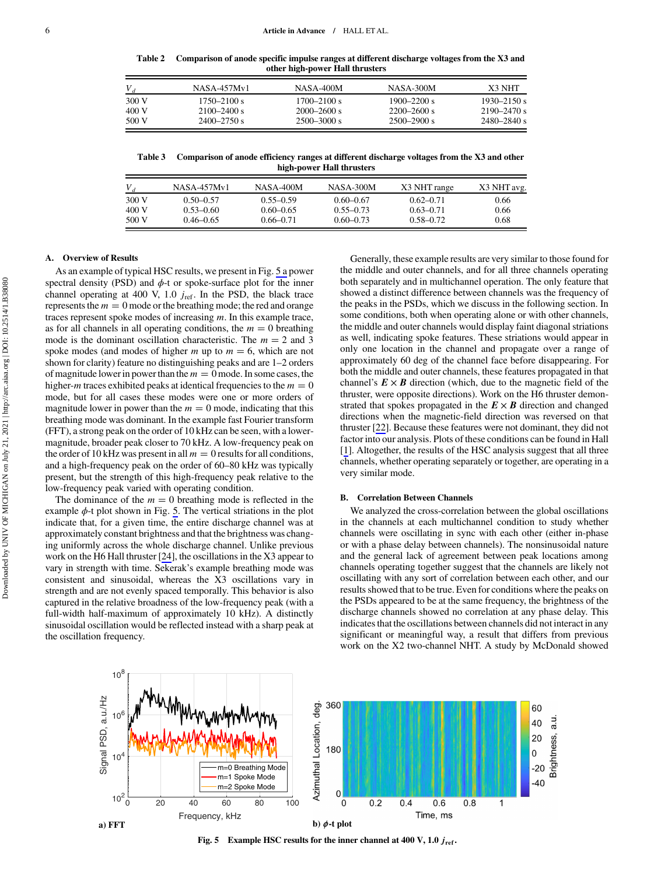Table 2 Comparison of anode specific impulse ranges at different discharge voltages from the X3 and other high-power Hall thrusters

<span id="page-5-0"></span>

| $V_A$ | NASA-457My1     | NASA-400M       | NASA-300M       | X3 NHT          |
|-------|-----------------|-----------------|-----------------|-----------------|
| 300 V | $1750 - 2100$ s | $1700 - 2100$ s | $1900 - 2200 s$ | $1930 - 2150$ s |
| 400 V | $2100 - 2400$ s | $2000 - 2600 s$ | $2200 - 2600$ s | $2190 - 2470$ s |
| 500 V | $2400 - 2750$ s | $2500 - 3000$ s | $2500 - 2900 s$ | $2480 - 2840$ s |

Table 3 Comparison of anode efficiency ranges at different discharge voltages from the X3 and other high-power Hall thrusters

|       | NASA-457My1   | NASA-400M     | NASA-300M     | X3 NHT range  | X3 NHT avg. |
|-------|---------------|---------------|---------------|---------------|-------------|
| 300 V | $0.50 - 0.57$ | $0.55 - 0.59$ | $0.60 - 0.67$ | $0.62 - 0.71$ | 0.66        |
| 400 V | $0.53 - 0.60$ | $0.60 - 0.65$ | $0.55 - 0.73$ | $0.63 - 0.71$ | 0.66        |
| 500 V | $0.46 - 0.65$ | $0.66 - 0.71$ | $0.60 - 0.73$ | $0.58 - 0.72$ | 0.68        |

### A. Overview of Results

As an example of typical HSC results, we present in Fig. 5 a power spectral density (PSD) and  $\phi$ -t or spoke-surface plot for the inner channel operating at 400 V, 1.0  $j_{ref}$ . In the PSD, the black trace represents the  $m = 0$  mode or the breathing mode; the red and orange traces represent spoke modes of increasing  $m$ . In this example trace, as for all channels in all operating conditions, the  $m = 0$  breathing mode is the dominant oscillation characteristic. The  $m = 2$  and 3 spoke modes (and modes of higher m up to  $m = 6$ , which are not shown for clarity) feature no distinguishing peaks and are 1–2 orders of magnitude lower in power than the  $m = 0$  mode. In some cases, the higher-*m* traces exhibited peaks at identical frequencies to the  $m = 0$ mode, but for all cases these modes were one or more orders of magnitude lower in power than the  $m = 0$  mode, indicating that this breathing mode was dominant. In the example fast Fourier transform (FFT), a strong peak on the order of 10 kHz can be seen, with a lowermagnitude, broader peak closer to 70 kHz. A low-frequency peak on the order of 10 kHz was present in all  $m = 0$  results for all conditions, and a high-frequency peak on the order of 60–80 kHz was typically present, but the strength of this high-frequency peak relative to the low-frequency peak varied with operating condition.

The dominance of the  $m = 0$  breathing mode is reflected in the example  $\phi$ -t plot shown in Fig. 5. The vertical striations in the plot indicate that, for a given time, the entire discharge channel was at approximately constant brightness and that the brightness was changing uniformly across the whole discharge channel. Unlike previous work on the H6 Hall thruster [[24](#page-10-0)], the oscillations in the X3 appear to vary in strength with time. Sekerak's example breathing mode was consistent and sinusoidal, whereas the X3 oscillations vary in strength and are not evenly spaced temporally. This behavior is also captured in the relative broadness of the low-frequency peak (with a full-width half-maximum of approximately 10 kHz). A distinctly sinusoidal oscillation would be reflected instead with a sharp peak at the oscillation frequency.

Generally, these example results are very similar to those found for the middle and outer channels, and for all three channels operating both separately and in multichannel operation. The only feature that showed a distinct difference between channels was the frequency of the peaks in the PSDs, which we discuss in the following section. In some conditions, both when operating alone or with other channels, the middle and outer channels would display faint diagonal striations as well, indicating spoke features. These striations would appear in only one location in the channel and propagate over a range of approximately 60 deg of the channel face before disappearing. For both the middle and outer channels, these features propagated in that channel's  $E \times B$  direction (which, due to the magnetic field of the thruster, were opposite directions). Work on the H6 thruster demonstrated that spokes propagated in the  $E \times B$  direction and changed directions when the magnetic-field direction was reversed on that thruster [\[22](#page-10-0)]. Because these features were not dominant, they did not factor into our analysis. Plots of these conditions can be found in Hall [\[1\]](#page-9-0). Altogether, the results of the HSC analysis suggest that all three channels, whether operating separately or together, are operating in a very similar mode.

## B. Correlation Between Channels

We analyzed the cross-correlation between the global oscillations in the channels at each multichannel condition to study whether channels were oscillating in sync with each other (either in-phase or with a phase delay between channels). The nonsinusoidal nature and the general lack of agreement between peak locations among channels operating together suggest that the channels are likely not oscillating with any sort of correlation between each other, and our results showed that to be true. Even for conditions where the peaks on the PSDs appeared to be at the same frequency, the brightness of the discharge channels showed no correlation at any phase delay. This indicates that the oscillations between channels did not interact in any significant or meaningful way, a result that differs from previous work on the X2 two-channel NHT. A study by McDonald showed



Fig. 5 Example HSC results for the inner channel at 400 V, 1.0  $j_{ref}$ .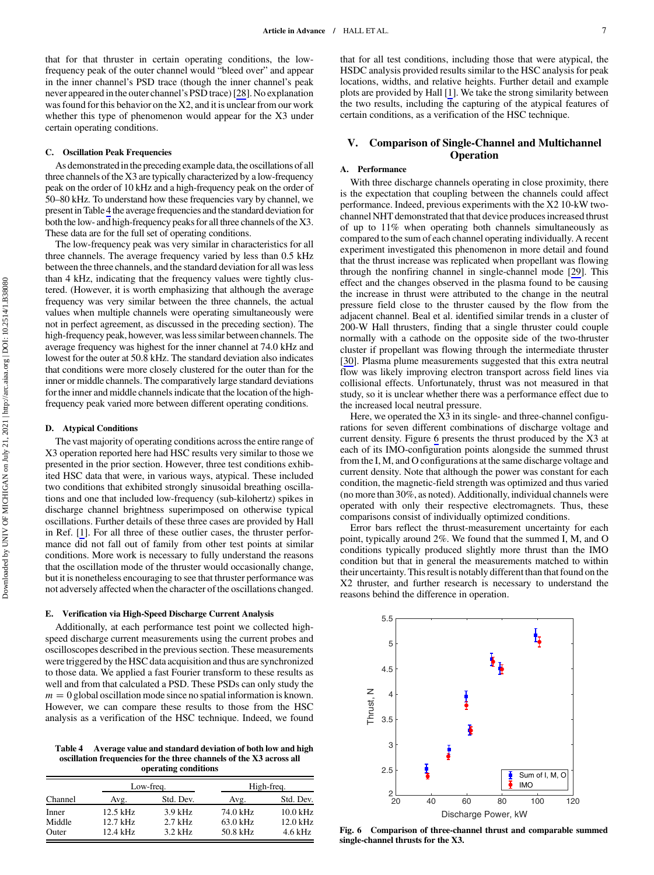<span id="page-6-0"></span>that for that thruster in certain operating conditions, the lowfrequency peak of the outer channel would "bleed over" and appear in the inner channel's PSD trace (though the inner channel's peak never appeared in the outer channel's PSD trace) [\[28](#page-10-0)]. No explanation was found for this behavior on the X2, and it is unclear from our work whether this type of phenomenon would appear for the X3 under certain operating conditions.

## C. Oscillation Peak Frequencies

As demonstrated inthe preceding example data, the oscillations of all three channels of the X3 are typically characterized by a low-frequency peak on the order of 10 kHz and a high-frequency peak on the order of 50–80 kHz. To understand how these frequencies vary by channel, we present in Table 4 the average frequencies and the standard deviation for both the low- and high-frequency peaks for all three channels of the X3. These data are for the full set of operating conditions.

The low-frequency peak was very similar in characteristics for all three channels. The average frequency varied by less than 0.5 kHz between the three channels, and the standard deviation for all was less than 4 kHz, indicating that the frequency values were tightly clustered. (However, it is worth emphasizing that although the average frequency was very similar between the three channels, the actual values when multiple channels were operating simultaneously were not in perfect agreement, as discussed in the preceding section). The high-frequency peak, however, was less similar between channels. The average frequency was highest for the inner channel at 74.0 kHz and lowest for the outer at 50.8 kHz. The standard deviation also indicates that conditions were more closely clustered for the outer than for the inner or middle channels. The comparatively large standard deviations for the inner and middle channels indicate that the location of the highfrequency peak varied more between different operating conditions.

#### D. Atypical Conditions

The vast majority of operating conditions across the entire range of X3 operation reported here had HSC results very similar to those we presented in the prior section. However, three test conditions exhibited HSC data that were, in various ways, atypical. These included two conditions that exhibited strongly sinusoidal breathing oscillations and one that included low-frequency (sub-kilohertz) spikes in discharge channel brightness superimposed on otherwise typical oscillations. Further details of these three cases are provided by Hall in Ref. [\[1\]](#page-9-0). For all three of these outlier cases, the thruster performance did not fall out of family from other test points at similar conditions. More work is necessary to fully understand the reasons that the oscillation mode of the thruster would occasionally change, but it is nonetheless encouraging to see that thruster performance was not adversely affected when the character of the oscillations changed.

#### E. Verification via High-Speed Discharge Current Analysis

Additionally, at each performance test point we collected highspeed discharge current measurements using the current probes and oscilloscopes described in the previous section. These measurements were triggered by the HSC data acquisition and thus are synchronized to those data. We applied a fast Fourier transform to these results as well and from that calculated a PSD. These PSDs can only study the  $m = 0$  global oscillation mode since no spatial information is known. However, we can compare these results to those from the HSC analysis as a verification of the HSC technique. Indeed, we found

Table 4 Average value and standard deviation of both low and high oscillation frequencies for the three channels of the X3 across all operating conditions

|         |            | Low-freq. | High-freq. |            |  |  |
|---------|------------|-----------|------------|------------|--|--|
| Channel | Avg.       | Std. Dev. | Avg.       | Std. Dev.  |  |  |
| Inner   | $12.5$ kHz | $3.9$ kHz | 74.0 kHz   | $10.0$ kHz |  |  |
| Middle  | $12.7$ kHz | $2.7$ kHz | 63.0 kHz   | $12.0$ kHz |  |  |
| Outer   | 12.4 kHz   | $3.2$ kHz | 50.8 kHz   | 4.6 kHz    |  |  |

that for all test conditions, including those that were atypical, the HSDC analysis provided results similar to the HSC analysis for peak locations, widths, and relative heights. Further detail and example plots are provided by Hall [[1](#page-9-0)]. We take the strong similarity between the two results, including the capturing of the atypical features of certain conditions, as a verification of the HSC technique.

# V. Comparison of Single-Channel and Multichannel **Operation**

## A. Performance

With three discharge channels operating in close proximity, there is the expectation that coupling between the channels could affect performance. Indeed, previous experiments with the X2 10-kW twochannel NHT demonstrated that that device produces increased thrust of up to 11% when operating both channels simultaneously as compared to the sum of each channel operating individually. A recent experiment investigated this phenomenon in more detail and found that the thrust increase was replicated when propellant was flowing through the nonfiring channel in single-channel mode [[29\]](#page-10-0). This effect and the changes observed in the plasma found to be causing the increase in thrust were attributed to the change in the neutral pressure field close to the thruster caused by the flow from the adjacent channel. Beal et al. identified similar trends in a cluster of 200-W Hall thrusters, finding that a single thruster could couple normally with a cathode on the opposite side of the two-thruster cluster if propellant was flowing through the intermediate thruster [\[30](#page-10-0)]. Plasma plume measurements suggested that this extra neutral flow was likely improving electron transport across field lines via collisional effects. Unfortunately, thrust was not measured in that study, so it is unclear whether there was a performance effect due to the increased local neutral pressure.

Here, we operated the X3 in its single- and three-channel configurations for seven different combinations of discharge voltage and current density. Figure 6 presents the thrust produced by the X3 at each of its IMO-configuration points alongside the summed thrust from the I, M, and O configurations at the same discharge voltage and current density. Note that although the power was constant for each condition, the magnetic-field strength was optimized and thus varied (no more than 30%, as noted). Additionally, individual channels were operated with only their respective electromagnets. Thus, these comparisons consist of individually optimized conditions.

Error bars reflect the thrust-measurement uncertainty for each point, typically around 2%. We found that the summed I, M, and O conditions typically produced slightly more thrust than the IMO condition but that in general the measurements matched to within their uncertainty. This result is notably different than that found on the X2 thruster, and further research is necessary to understand the reasons behind the difference in operation.



Fig. 6 Comparison of three-channel thrust and comparable summed single-channel thrusts for the X3.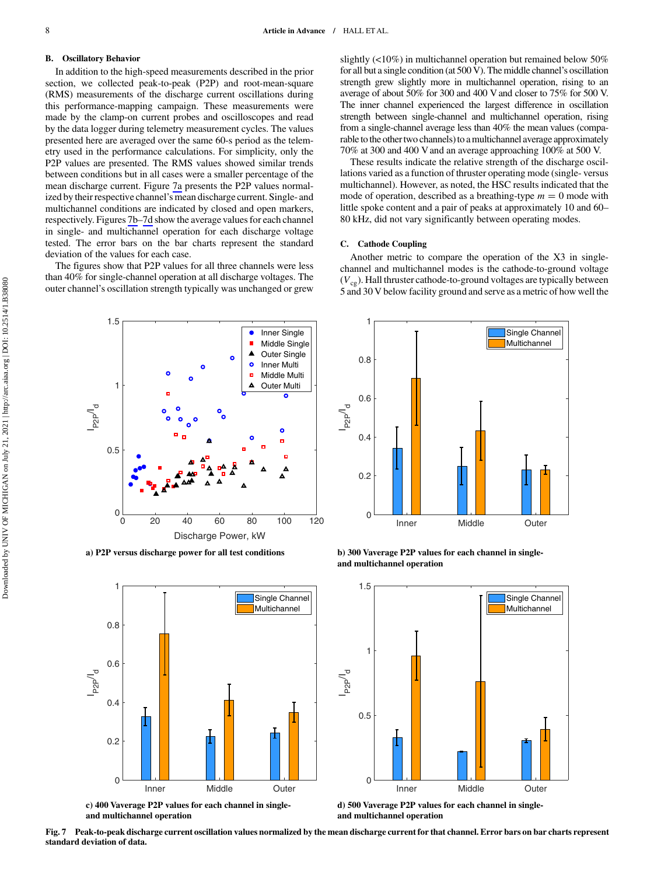## B. Oscillatory Behavior

In addition to the high-speed measurements described in the prior section, we collected peak-to-peak (P2P) and root-mean-square (RMS) measurements of the discharge current oscillations during this performance-mapping campaign. These measurements were made by the clamp-on current probes and oscilloscopes and read by the data logger during telemetry measurement cycles. The values presented here are averaged over the same 60-s period as the telemetry used in the performance calculations. For simplicity, only the P2P values are presented. The RMS values showed similar trends between conditions but in all cases were a smaller percentage of the mean discharge current. Figure 7a presents the P2P values normalized by their respective channel's mean discharge current. Single- and multichannel conditions are indicated by closed and open markers, respectively. Figures 7b–7d show the average values for each channel in single- and multichannel operation for each discharge voltage tested. The error bars on the bar charts represent the standard deviation of the values for each case.

The figures show that P2P values for all three channels were less than 40% for single-channel operation at all discharge voltages. The outer channel's oscillation strength typically was unchanged or grew slightly (<10%) in multichannel operation but remained below 50% for all but a single condition (at 500 V). The middle channel's oscillation strength grew slightly more in multichannel operation, rising to an average of about 50% for 300 and 400 V and closer to 75% for 500 V. The inner channel experienced the largest difference in oscillation strength between single-channel and multichannel operation, rising from a single-channel average less than 40% the mean values (comparable to the other two channels) to a multichannel average approximately 70% at 300 and 400 V and an average approaching 100% at 500 V.

These results indicate the relative strength of the discharge oscillations varied as a function of thruster operating mode (single- versus multichannel). However, as noted, the HSC results indicated that the mode of operation, described as a breathing-type  $m = 0$  mode with little spoke content and a pair of peaks at approximately 10 and 60– 80 kHz, did not vary significantly between operating modes.

#### C. Cathode Coupling

Another metric to compare the operation of the X3 in singlechannel and multichannel modes is the cathode-to-ground voltage  $(V_{cg})$ . Hall thruster cathode-to-ground voltages are typically between 5 and 30 V below facility ground and serve as a metric of how well the



**a) P2P versus discharge power for all test conditions**



**and multichannel operation**



**b) 300 Vaverage P2P values for each channel in singleand multichannel operation**



**and multichannel operation**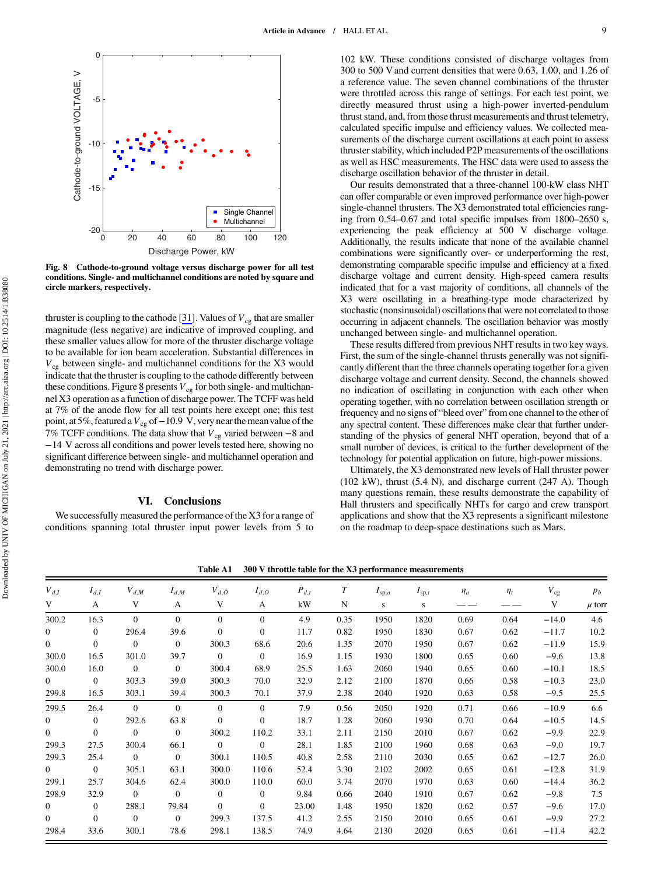

Fig. 8 Cathode-to-ground voltage versus discharge power for all test conditions. Single- and multichannel conditions are noted by square and circle markers, respectively.

thruster is coupling to the cathode [[31\]](#page-10-0). Values of  $V_{cg}$  that are smaller magnitude (less negative) are indicative of improved coupling, and these smaller values allow for more of the thruster discharge voltage to be available for ion beam acceleration. Substantial differences in  $V_{cg}$  between single- and multichannel conditions for the X3 would indicate that the thruster is coupling to the cathode differently between these conditions. Figure 8 presents  $V_{cg}$  for both single- and multichannel X3 operation as a function of discharge power. The TCFF was held at 7% of the anode flow for all test points here except one; this test point, at 5%, featured a  $V_{cg}$  of −10.9 V, very near the mean value of the 7% TCFF conditions. The data show that  $V_{cg}$  varied between –8 and <sup>−</sup>14 V across all conditions and power levels tested here, showing no significant difference between single- and multichannel operation and demonstrating no trend with discharge power.

# VI. Conclusions

We successfully measured the performance of the X3 for a range of conditions spanning total thruster input power levels from 5 to

102 kW. These conditions consisted of discharge voltages from 300 to 500 V and current densities that were 0.63, 1.00, and 1.26 of a reference value. The seven channel combinations of the thruster were throttled across this range of settings. For each test point, we directly measured thrust using a high-power inverted-pendulum thrust stand, and, from those thrust measurements and thrust telemetry, calculated specific impulse and efficiency values. We collected measurements of the discharge current oscillations at each point to assess thruster stability, which included P2P measurements of the oscillations as well as HSC measurements. The HSC data were used to assess the discharge oscillation behavior of the thruster in detail.

Our results demonstrated that a three-channel 100-kW class NHT can offer comparable or even improved performance over high-power single-channel thrusters. The X3 demonstrated total efficiencies ranging from 0.54–0.67 and total specific impulses from 1800–2650 s, experiencing the peak efficiency at 500 V discharge voltage. Additionally, the results indicate that none of the available channel combinations were significantly over- or underperforming the rest, demonstrating comparable specific impulse and efficiency at a fixed discharge voltage and current density. High-speed camera results indicated that for a vast majority of conditions, all channels of the X3 were oscillating in a breathing-type mode characterized by stochastic (nonsinusoidal) oscillations that were not correlated to those occurring in adjacent channels. The oscillation behavior was mostly unchanged between single- and multichannel operation.

These results differed from previous NHT results in two key ways. First, the sum of the single-channel thrusts generally was not significantly different than the three channels operating together for a given discharge voltage and current density. Second, the channels showed no indication of oscillating in conjunction with each other when operating together, with no correlation between oscillation strength or frequency and no signs of "bleed over" from one channel to the other of any spectral content. These differences make clear that further understanding of the physics of general NHT operation, beyond that of a small number of devices, is critical to the further development of the technology for potential application on future, high-power missions.

Ultimately, the X3 demonstrated new levels of Hall thruster power (102 kW), thrust (5.4 N), and discharge current (247 A). Though many questions remain, these results demonstrate the capability of Hall thrusters and specifically NHTs for cargo and crew transport applications and show that the X3 represents a significant milestone on the roadmap to deep-space destinations such as Mars.

Table A1 300 V throttle table for the X3 performance measurements

| $V_{d,I}$      | $I_{d,I}$      | $V_{d,M}$      | $I_{d,M}$      | $V_{d,O}$      | $I_{d,O}$      | $P_{d,t}$ | T    | $I_{sp,a}$ | $I_{sp,t}$ | $\eta_a$ | $\eta_t$ | $V_{cg}$ | $p_b$      |
|----------------|----------------|----------------|----------------|----------------|----------------|-----------|------|------------|------------|----------|----------|----------|------------|
| V              | A              | V              | A              | V              | A              | kW        | N    | s          | s          |          |          | V        | $\mu$ torn |
| 300.2          | 16.3           | $\Omega$       | $\Omega$       | $\Omega$       | $\Omega$       | 4.9       | 0.35 | 1950       | 1820       | 0.69     | 0.64     | $-14.0$  | 4.6        |
| $\mathbf{0}$   | $\mathbf{0}$   | 296.4          | 39.6           | $\mathbf{0}$   | $\mathbf{0}$   | 11.7      | 0.82 | 1950       | 1830       | 0.67     | 0.62     | $-11.7$  | 10.2       |
| $\overline{0}$ | $\overline{0}$ | $\overline{0}$ | $\overline{0}$ | 300.3          | 68.6           | 20.6      | 1.35 | 2070       | 1950       | 0.67     | 0.62     | $-11.9$  | 15.9       |
| 300.0          | 16.5           | 301.0          | 39.7           | $\overline{0}$ | $\overline{0}$ | 16.9      | 1.15 | 1930       | 1800       | 0.65     | 0.60     | $-9.6$   | 13.8       |
| 300.0          | 16.0           | $\overline{0}$ | $\Omega$       | 300.4          | 68.9           | 25.5      | 1.63 | 2060       | 1940       | 0.65     | 0.60     | $-10.1$  | 18.5       |
| $\overline{0}$ | $\theta$       | 303.3          | 39.0           | 300.3          | 70.0           | 32.9      | 2.12 | 2100       | 1870       | 0.66     | 0.58     | $-10.3$  | 23.0       |
| 299.8          | 16.5           | 303.1          | 39.4           | 300.3          | 70.1           | 37.9      | 2.38 | 2040       | 1920       | 0.63     | 0.58     | $-9.5$   | 25.5       |
| 299.5          | 26.4           | $\Omega$       | $\Omega$       | $\Omega$       | $\Omega$       | 7.9       | 0.56 | 2050       | 1920       | 0.71     | 0.66     | $-10.9$  | 6.6        |
| $\overline{0}$ | $\theta$       | 292.6          | 63.8           | $\overline{0}$ | $\overline{0}$ | 18.7      | 1.28 | 2060       | 1930       | 0.70     | 0.64     | $-10.5$  | 14.5       |
| $\overline{0}$ | $\theta$       | $\overline{0}$ | $\overline{0}$ | 300.2          | 110.2          | 33.1      | 2.11 | 2150       | 2010       | 0.67     | 0.62     | $-9.9$   | 22.9       |
| 299.3          | 27.5           | 300.4          | 66.1           | $\theta$       | $\Omega$       | 28.1      | 1.85 | 2100       | 1960       | 0.68     | 0.63     | $-9.0$   | 19.7       |
| 299.3          | 25.4           | $\overline{0}$ | $\overline{0}$ | 300.1          | 110.5          | 40.8      | 2.58 | 2110       | 2030       | 0.65     | 0.62     | $-12.7$  | 26.0       |
| $\overline{0}$ | $\overline{0}$ | 305.1          | 63.1           | 300.0          | 110.6          | 52.4      | 3.30 | 2102       | 2002       | 0.65     | 0.61     | $-12.8$  | 31.9       |
| 299.1          | 25.7           | 304.6          | 62.4           | 300.0          | 110.0          | 60.0      | 3.74 | 2070       | 1970       | 0.63     | 0.60     | $-14.4$  | 36.2       |
| 298.9          | 32.9           | $\overline{0}$ | $\Omega$       | $\overline{0}$ | $\overline{0}$ | 9.84      | 0.66 | 2040       | 1910       | 0.67     | 0.62     | $-9.8$   | 7.5        |
| $\overline{0}$ | $\theta$       | 288.1          | 79.84          | $\Omega$       | $\Omega$       | 23.00     | 1.48 | 1950       | 1820       | 0.62     | 0.57     | $-9.6$   | 17.0       |
| $\overline{0}$ | $\Omega$       | $\Omega$       | $\overline{0}$ | 299.3          | 137.5          | 41.2      | 2.55 | 2150       | 2010       | 0.65     | 0.61     | $-9.9$   | 27.2       |
| 298.4          | 33.6           | 300.1          | 78.6           | 298.1          | 138.5          | 74.9      | 4.64 | 2130       | 2020       | 0.65     | 0.61     | $-11.4$  | 42.2       |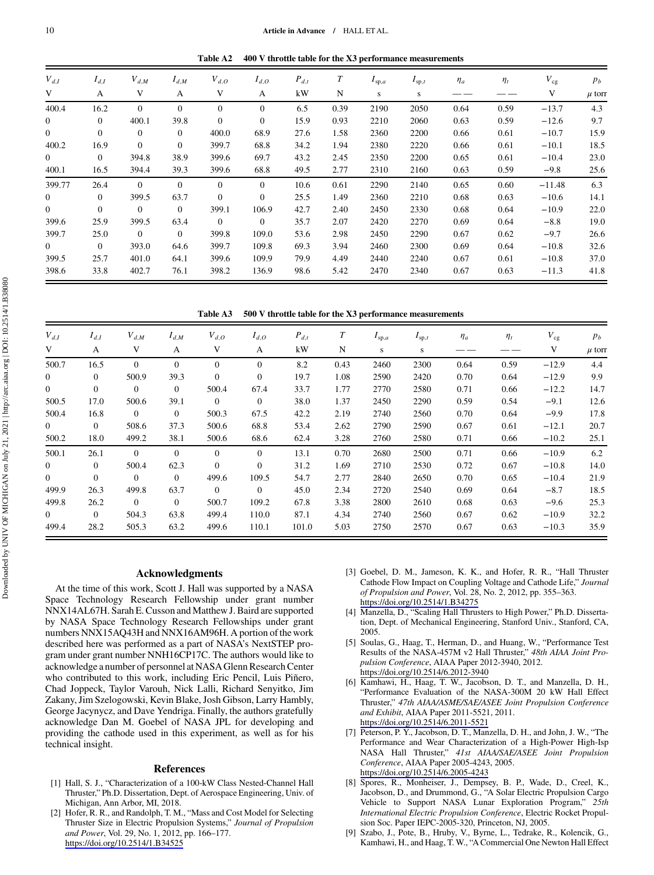Table A2 400 V throttle table for the X3 performance measurements

<span id="page-9-0"></span>

| $V_{d,I}$      | $I_{d,I}$    | $V_{d,M}$      | $I_{d,M}$      | $V_{d,O}$ | $I_{d,O}$      | $P_{d,t}$ | $\boldsymbol{T}$ | $I_{sp,a}$ | $I_{sp,t}$ | $\eta_a$ | $\eta_t$ | $V_{cg}$ | $p_b$      |
|----------------|--------------|----------------|----------------|-----------|----------------|-----------|------------------|------------|------------|----------|----------|----------|------------|
| V              | A            | V              | А              | V         | A              | kW        | N                | s          | S          |          |          | V        | $\mu$ torn |
| 400.4          | 16.2         | $\overline{0}$ | $\overline{0}$ | $\theta$  | $\mathbf{0}$   | 6.5       | 0.39             | 2190       | 2050       | 0.64     | 0.59     | $-13.7$  | 4.3        |
| $\overline{0}$ | $\theta$     | 400.1          | 39.8           | $\theta$  | $\overline{0}$ | 15.9      | 0.93             | 2210       | 2060       | 0.63     | 0.59     | $-12.6$  | 9.7        |
| $\overline{0}$ | $\theta$     | $\overline{0}$ | $\overline{0}$ | 400.0     | 68.9           | 27.6      | 1.58             | 2360       | 2200       | 0.66     | 0.61     | $-10.7$  | 15.9       |
| 400.2          | 16.9         | $\overline{0}$ | $\overline{0}$ | 399.7     | 68.8           | 34.2      | 1.94             | 2380       | 2220       | 0.66     | 0.61     | $-10.1$  | 18.5       |
| $\overline{0}$ | $\theta$     | 394.8          | 38.9           | 399.6     | 69.7           | 43.2      | 2.45             | 2350       | 2200       | 0.65     | 0.61     | $-10.4$  | 23.0       |
| 400.1          | 16.5         | 394.4          | 39.3           | 399.6     | 68.8           | 49.5      | 2.77             | 2310       | 2160       | 0.63     | 0.59     | $-9.8$   | 25.6       |
| 399.77         | 26.4         | $\Omega$       | $\Omega$       | $\Omega$  | $\Omega$       | 10.6      | 0.61             | 2290       | 2140       | 0.65     | 0.60     | $-11.48$ | 6.3        |
| $\overline{0}$ | $\Omega$     | 399.5          | 63.7           | $\Omega$  | $\Omega$       | 25.5      | 1.49             | 2360       | 2210       | 0.68     | 0.63     | $-10.6$  | 14.1       |
| $\overline{0}$ | $\mathbf{0}$ | $\overline{0}$ | $\mathbf{0}$   | 399.1     | 106.9          | 42.7      | 2.40             | 2450       | 2330       | 0.68     | 0.64     | $-10.9$  | 22.0       |
| 399.6          | 25.9         | 399.5          | 63.4           | $\theta$  | $\overline{0}$ | 35.7      | 2.07             | 2420       | 2270       | 0.69     | 0.64     | $-8.8$   | 19.0       |
| 399.7          | 25.0         | $\overline{0}$ | $\overline{0}$ | 399.8     | 109.0          | 53.6      | 2.98             | 2450       | 2290       | 0.67     | 0.62     | $-9.7$   | 26.6       |
| $\overline{0}$ | $\theta$     | 393.0          | 64.6           | 399.7     | 109.8          | 69.3      | 3.94             | 2460       | 2300       | 0.69     | 0.64     | $-10.8$  | 32.6       |
| 399.5          | 25.7         | 401.0          | 64.1           | 399.6     | 109.9          | 79.9      | 4.49             | 2440       | 2240       | 0.67     | 0.61     | $-10.8$  | 37.0       |
| 398.6          | 33.8         | 402.7          | 76.1           | 398.2     | 136.9          | 98.6      | 5.42             | 2470       | 2340       | 0.67     | 0.63     | $-11.3$  | 41.8       |

Table A3 500 V throttle table for the X3 performance measurements

| $V_{d,I}$      | $I_{d,I}$      | $V_{d,M}$      | $I_{d,M}$      | $V_{d,O}$      | $I_{d,O}$      | $P_{d,t}$ | $\boldsymbol{T}$ | $I_{sp,a}$ | $I_{sp,t}$ | $\eta_a$ | $\eta_t$ | $V_{cg}$ | $p_b$      |
|----------------|----------------|----------------|----------------|----------------|----------------|-----------|------------------|------------|------------|----------|----------|----------|------------|
| V              | A              | V              | A              | V              | A              | kW        | N                | S          | s          |          |          | V        | $\mu$ torr |
| 500.7          | 16.5           | $\Omega$       | $\Omega$       | $\Omega$       | $\mathbf{0}$   | 8.2       | 0.43             | 2460       | 2300       | 0.64     | 0.59     | $-12.9$  | 4.4        |
| $\overline{0}$ | $\overline{0}$ | 500.9          | 39.3           | $\Omega$       | $\overline{0}$ | 19.7      | 1.08             | 2590       | 2420       | 0.70     | 0.64     | $-12.9$  | 9.9        |
| $\mathbf{0}$   | $\mathbf{0}$   | $\overline{0}$ | $\Omega$       | 500.4          | 67.4           | 33.7      | 1.77             | 2770       | 2580       | 0.71     | 0.66     | $-12.2$  | 14.7       |
| 500.5          | 17.0           | 500.6          | 39.1           | $\overline{0}$ | $\overline{0}$ | 38.0      | 1.37             | 2450       | 2290       | 0.59     | 0.54     | $-9.1$   | 12.6       |
| 500.4          | 16.8           | $\overline{0}$ | $\mathbf{0}$   | 500.3          | 67.5           | 42.2      | 2.19             | 2740       | 2560       | 0.70     | 0.64     | $-9.9$   | 17.8       |
| $\overline{0}$ | $\overline{0}$ | 508.6          | 37.3           | 500.6          | 68.8           | 53.4      | 2.62             | 2790       | 2590       | 0.67     | 0.61     | $-12.1$  | 20.7       |
| 500.2          | 18.0           | 499.2          | 38.1           | 500.6          | 68.6           | 62.4      | 3.28             | 2760       | 2580       | 0.71     | 0.66     | $-10.2$  | 25.1       |
| 500.1          | 26.1           | $\overline{0}$ | $\Omega$       | $\Omega$       | $\overline{0}$ | 13.1      | 0.70             | 2680       | 2500       | 0.71     | 0.66     | $-10.9$  | 6.2        |
| $\overline{0}$ | $\overline{0}$ | 500.4          | 62.3           | $\Omega$       | $\overline{0}$ | 31.2      | 1.69             | 2710       | 2530       | 0.72     | 0.67     | $-10.8$  | 14.0       |
| $\overline{0}$ | $\overline{0}$ | $\overline{0}$ | $\overline{0}$ | 499.6          | 109.5          | 54.7      | 2.77             | 2840       | 2650       | 0.70     | 0.65     | $-10.4$  | 21.9       |
| 499.9          | 26.3           | 499.8          | 63.7           | $\Omega$       | $\overline{0}$ | 45.0      | 2.34             | 2720       | 2540       | 0.69     | 0.64     | $-8.7$   | 18.5       |
| 499.8          | 26.2           | $\overline{0}$ | $\Omega$       | 500.7          | 109.2          | 67.8      | 3.38             | 2800       | 2610       | 0.68     | 0.63     | $-9.6$   | 25.3       |
| $\overline{0}$ | $\Omega$       | 504.3          | 63.8           | 499.4          | 110.0          | 87.1      | 4.34             | 2740       | 2560       | 0.67     | 0.62     | $-10.9$  | 32.2       |
| 499.4          | 28.2           | 505.3          | 63.2           | 499.6          | 110.1          | 101.0     | 5.03             | 2750       | 2570       | 0.67     | 0.63     | $-10.3$  | 35.9       |

## Acknowledgments

At the time of this work, Scott J. Hall was supported by a NASA Space Technology Research Fellowship under grant number NNX14AL67H. Sarah E. Cusson and Matthew J. Baird are supported by NASA Space Technology Research Fellowships under grant numbers NNX15AQ43H and NNX16AM96H. A portion of the work described here was performed as a part of NASA's NextSTEP program under grant number NNH16CP17C. The authors would like to acknowledge a number of personnel at NASA Glenn Research Center who contributed to this work, including Eric Pencil, Luis Piñero, Chad Joppeck, Taylor Varouh, Nick Lalli, Richard Senyitko, Jim Zakany, Jim Szelogowski, Kevin Blake, Josh Gibson, Larry Hambly, George Jacynycz, and Dave Yendriga. Finally, the authors gratefully acknowledge Dan M. Goebel of NASA JPL for developing and providing the cathode used in this experiment, as well as for his technical insight.

#### References

- [1] Hall, S. J., "Characterization of a 100-kW Class Nested-Channel Hall Thruster," Ph.D. Dissertation, Dept. of Aerospace Engineering, Univ. of Michigan, Ann Arbor, MI, 2018.
- [2] Hofer, R. R., and Randolph, T. M., "Mass and Cost Model for Selecting Thruster Size in Electric Propulsion Systems," Journal of Propulsion and Power, Vol. 29, No. 1, 2012, pp. 166–177. <https://doi.org/10.2514/1.B34525>
- [3] Goebel, D. M., Jameson, K. K., and Hofer, R. R., "Hall Thruster Cathode Flow Impact on Coupling Voltage and Cathode Life," Journal of Propulsion and Power, Vol. 28, No. 2, 2012, pp. 355–363. <https://doi.org/10.2514/1.B34275>
- [4] Manzella, D., "Scaling Hall Thrusters to High Power," Ph.D. Dissertation, Dept. of Mechanical Engineering, Stanford Univ., Stanford, CA, 2005.
- [5] Soulas, G., Haag, T., Herman, D., and Huang, W., "Performance Test Results of the NASA-457M v2 Hall Thruster," 48th AIAA Joint Propulsion Conference, AIAA Paper 2012-3940, 2012. <https://doi.org/10.2514/6.2012-3940>
- [6] Kamhawi, H., Haag, T. W., Jacobson, D. T., and Manzella, D. H., "Performance Evaluation of the NASA-300M 20 kW Hall Effect Thruster," 47th AIAA/ASME/SAE/ASEE Joint Propulsion Conference and Exhibit, AIAA Paper 2011-5521, 2011. <https://doi.org/10.2514/6.2011-5521>
- [7] Peterson, P. Y., Jacobson, D. T., Manzella, D. H., and John, J. W., "The Performance and Wear Characterization of a High-Power High-Isp NASA Hall Thruster," 41st AIAA/SAE/ASEE Joint Propulsion Conference, AIAA Paper 2005-4243, 2005. <https://doi.org/10.2514/6.2005-4243>
- [8] Spores, R., Monheiser, J., Dempsey, B. P., Wade, D., Creel, K., Jacobson, D., and Drummond, G., "A Solar Electric Propulsion Cargo Vehicle to Support NASA Lunar Exploration Program," 25th International Electric Propulsion Conference, Electric Rocket Propulsion Soc. Paper IEPC-2005-320, Princeton, NJ, 2005.
- [9] Szabo, J., Pote, B., Hruby, V., Byrne, L., Tedrake, R., Kolencik, G., Kamhawi, H., and Haag, T. W., "A Commercial One Newton Hall Effect